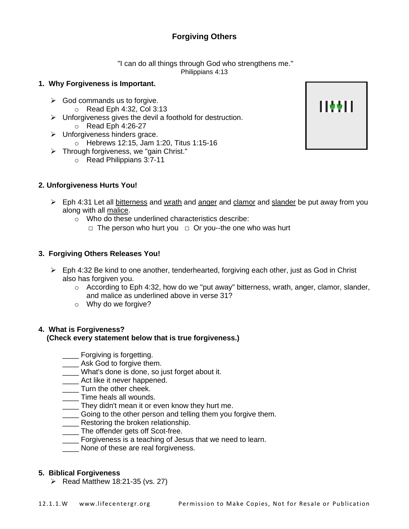# **Forgiving Others**

"I can do all things through God who strengthens me." Philippians 4:13

### **1. Why Forgiveness is Important.**

- $\triangleright$  God commands us to forgive.
	- $\circ$  Read Eph 4:32, Col 3:13
- $\triangleright$  Unforgiveness gives the devil a foothold for destruction.
	- $\circ$  Read Eph 4:26-27
- ➢ Unforgiveness hinders grace.
	- o Hebrews 12:15, Jam 1:20, Titus 1:15-16
- ➢ Through forgiveness, we "gain Christ."
	- o Read Philippians 3:7-11

### **2. Unforgiveness Hurts You!**

- ➢ Eph 4:31 Let all bitterness and wrath and anger and clamor and slander be put away from you along with all malice.
	- o Who do these underlined characteristics describe:
		- □ The person who hurt you □ Or you--the one who was hurt

### **3. Forgiving Others Releases You!**

- $\triangleright$  Eph 4:32 Be kind to one another, tenderhearted, forgiving each other, just as God in Christ also has forgiven you.
	- $\circ$  According to Eph 4:32, how do we "put away" bitterness, wrath, anger, clamor, slander, and malice as underlined above in verse 31?
	- $\circ$  Why do we forgive?

#### **4. What is Forgiveness? (Check every statement below that is true forgiveness.)**

- **\_\_\_\_\_** Forgiving is forgetting.
- **LETT** Ask God to forgive them.
- What's done is done, so just forget about it.
- **\_\_\_\_** Act like it never happened.
- **Turn the other cheek.**
- Time heals all wounds.
- \_\_\_\_ They didn't mean it or even know they hurt me.
- Going to the other person and telling them you forgive them.
- **\_\_\_\_** Restoring the broken relationship.
- The offender gets off Scot-free.
- Forgiveness is a teaching of Jesus that we need to learn.
- None of these are real forgiveness.

#### **5. Biblical Forgiveness**

 $\triangleright$  Read Matthew 18:21-35 (vs. 27)